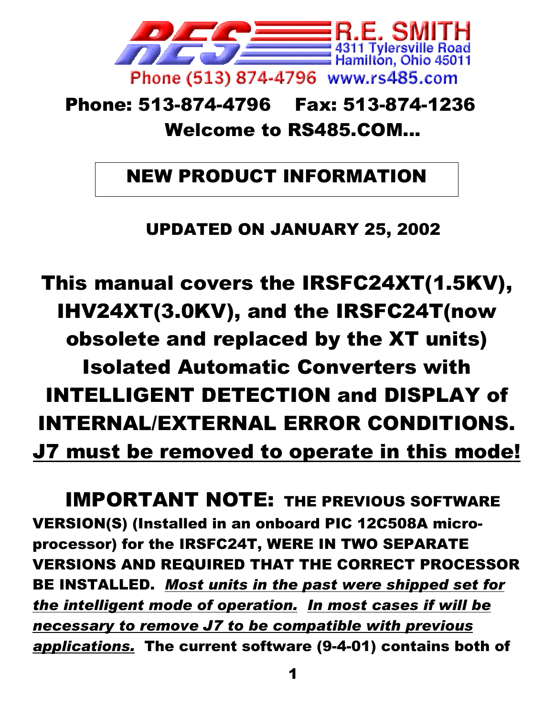

# Phone: 513-874-4796 Fax: 513-874-1236 Welcome to RS485.COM...

# NEW PRODUCT INFORMATION

UPDATED ON JANUARY 25, 2002

This manual covers the IRSFC24XT(1.5KV), IHV24XT(3.0KV), and the IRSFC24T(now obsolete and replaced by the XT units) Isolated Automatic Converters with INTELLIGENT DETECTION and DISPLAY of INTERNAL/EXTERNAL ERROR CONDITIONS. J7 must be removed to operate in this mode!

IMPORTANT NOTE: THE PREVIOUS SOFTWARE VERSION(S) (Installed in an onboard PIC 12C508A microprocessor) for the IRSFC24T, WERE IN TWO SEPARATE VERSIONS AND REQUIRED THAT THE CORRECT PROCESSOR BE INSTALLED. *Most units in the past were shipped set for the intelligent mode of operation. In most cases if will be necessary to remove J7 to be compatible with previous applications.* The current software (9-4-01) contains both of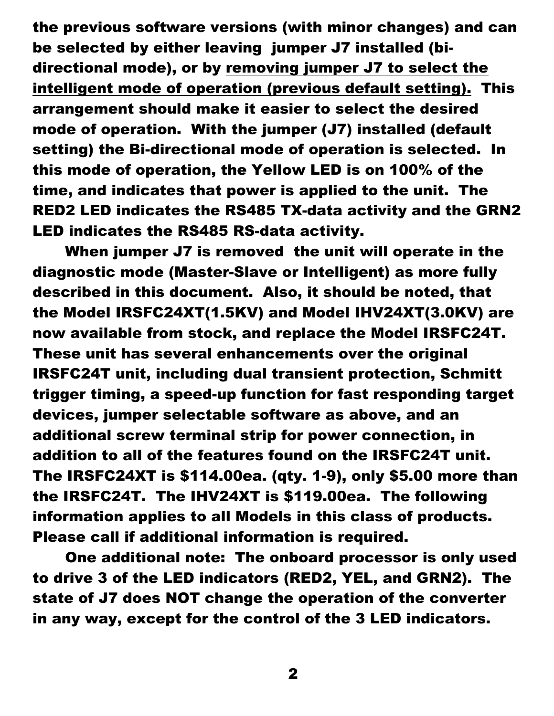the previous software versions (with minor changes) and can be selected by either leaving jumper J7 installed (bidirectional mode), or by removing jumper J7 to select the intelligent mode of operation (previous default setting). This arrangement should make it easier to select the desired mode of operation. With the jumper (J7) installed (default setting) the Bi-directional mode of operation is selected. In this mode of operation, the Yellow LED is on 100% of the time, and indicates that power is applied to the unit. The RED2 LED indicates the RS485 TX-data activity and the GRN2 LED indicates the RS485 RS-data activity.

When jumper J7 is removed the unit will operate in the diagnostic mode (Master-Slave or Intelligent) as more fully described in this document. Also, it should be noted, that the Model IRSFC24XT(1.5KV) and Model IHV24XT(3.0KV) are now available from stock, and replace the Model IRSFC24T. These unit has several enhancements over the original IRSFC24T unit, including dual transient protection, Schmitt trigger timing, a speed-up function for fast responding target devices, jumper selectable software as above, and an additional screw terminal strip for power connection, in addition to all of the features found on the IRSFC24T unit. The IRSFC24XT is \$114.00ea. (qty. 1-9), only \$5.00 more than the IRSFC24T. The IHV24XT is \$119.00ea. The following information applies to all Models in this class of products. Please call if additional information is required.

One additional note: The onboard processor is only used to drive 3 of the LED indicators (RED2, YEL, and GRN2). The state of J7 does NOT change the operation of the converter in any way, except for the control of the 3 LED indicators.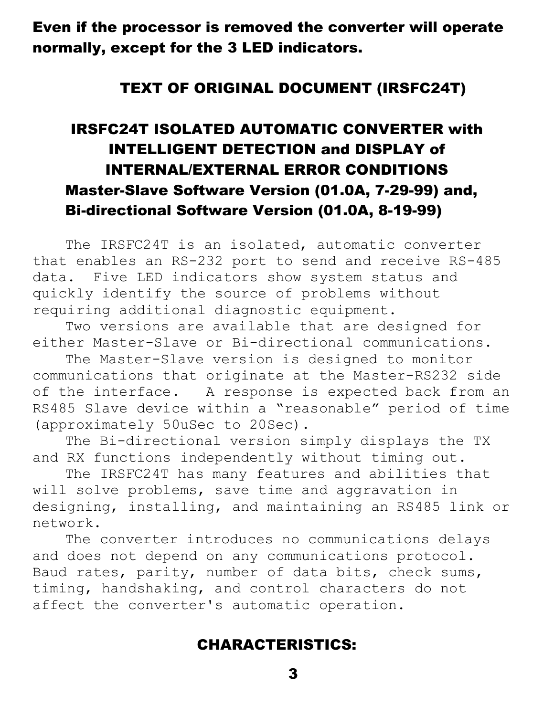Even if the processor is removed the converter will operate normally, except for the 3 LED indicators.

#### TEXT OF ORIGINAL DOCUMENT (IRSFC24T)

## IRSFC24T ISOLATED AUTOMATIC CONVERTER with INTELLIGENT DETECTION and DISPLAY of INTERNAL/EXTERNAL ERROR CONDITIONS Master-Slave Software Version (01.0A, 7-29-99) and, Bi-directional Software Version (01.0A, 8-19-99)

The IRSFC24T is an isolated, automatic converter that enables an RS-232 port to send and receive RS-485 data. Five LED indicators show system status and quickly identify the source of problems without requiring additional diagnostic equipment.

Two versions are available that are designed for either Master-Slave or Bi-directional communications.

The Master-Slave version is designed to monitor communications that originate at the Master-RS232 side of the interface. A response is expected back from an RS485 Slave device within a "reasonable" period of time (approximately 50uSec to 20Sec).

The Bi-directional version simply displays the TX and RX functions independently without timing out.

The IRSFC24T has many features and abilities that will solve problems, save time and aggravation in designing, installing, and maintaining an RS485 link or network.

The converter introduces no communications delays and does not depend on any communications protocol. Baud rates, parity, number of data bits, check sums, timing, handshaking, and control characters do not affect the converter's automatic operation.

#### CHARACTERISTICS: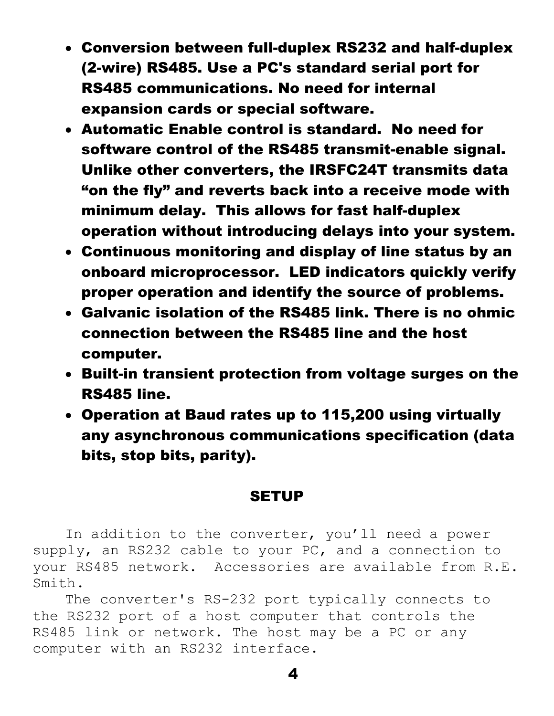- Conversion between full-duplex RS232 and half-duplex (2-wire) RS485. Use a PC's standard serial port for RS485 communications. No need for internal expansion cards or special software.
- Automatic Enable control is standard. No need for software control of the RS485 transmit-enable signal. Unlike other converters, the IRSFC24T transmits data "on the fly" and reverts back into a receive mode with minimum delay. This allows for fast half-duplex operation without introducing delays into your system.
- Continuous monitoring and display of line status by an onboard microprocessor. LED indicators quickly verify proper operation and identify the source of problems.
- Galvanic isolation of the RS485 link. There is no ohmic connection between the RS485 line and the host computer.
- Built-in transient protection from voltage surges on the RS485 line.
- Operation at Baud rates up to 115,200 using virtually any asynchronous communications specification (data bits, stop bits, parity).

#### **SETUP**

In addition to the converter, you'll need a power supply, an RS232 cable to your PC, and a connection to your RS485 network. Accessories are available from R.E. Smith.

4

The converter's RS-232 port typically connects to the RS232 port of a host computer that controls the RS485 link or network. The host may be a PC or any computer with an RS232 interface.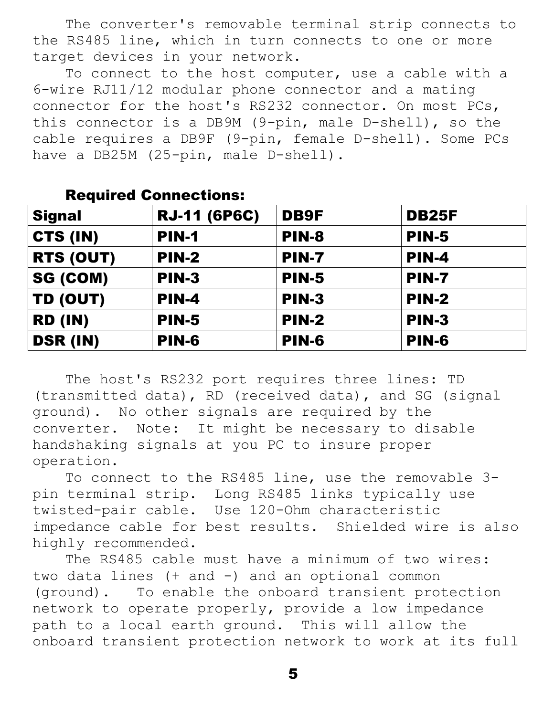The converter's removable terminal strip connects to the RS485 line, which in turn connects to one or more target devices in your network.

To connect to the host computer, use a cable with a 6-wire RJ11/12 modular phone connector and a mating connector for the host's RS232 connector. On most PCs, this connector is a DB9M (9-pin, male D-shell), so the cable requires a DB9F (9-pin, female D-shell). Some PCs have a DB25M (25-pin, male D-shell).

| <b>Signal</b>   | <b>RJ-11 (6P6C)</b> | <b>DB9F</b>  | <b>DB25F</b> |  |
|-----------------|---------------------|--------------|--------------|--|
| CTS (IN)        | <b>PIN-1</b>        | <b>PIN-8</b> | <b>PIN-5</b> |  |
| RTS (OUT)       | <b>PIN-2</b>        | <b>PIN-7</b> | <b>PIN-4</b> |  |
| SG (COM)        | PIN-3               | <b>PIN-5</b> | PIN-7        |  |
| TD (OUT)        | <b>PIN-4</b>        | <b>PIN-3</b> | <b>PIN-2</b> |  |
| <b>RD (IN)</b>  | <b>PIN-5</b>        | <b>PIN-2</b> | <b>PIN-3</b> |  |
| <b>DSR (IN)</b> | <b>PIN-6</b>        | <b>PIN-6</b> | <b>PIN-6</b> |  |

#### Required Connections:

The host's RS232 port requires three lines: TD (transmitted data), RD (received data), and SG (signal ground). No other signals are required by the converter. Note: It might be necessary to disable handshaking signals at you PC to insure proper operation.

To connect to the RS485 line, use the removable 3 pin terminal strip. Long RS485 links typically use twisted-pair cable. Use 120-Ohm characteristic impedance cable for best results. Shielded wire is also highly recommended.

The RS485 cable must have a minimum of two wires: two data lines (+ and -) and an optional common (ground). To enable the onboard transient protection network to operate properly, provide a low impedance path to a local earth ground. This will allow the onboard transient protection network to work at its full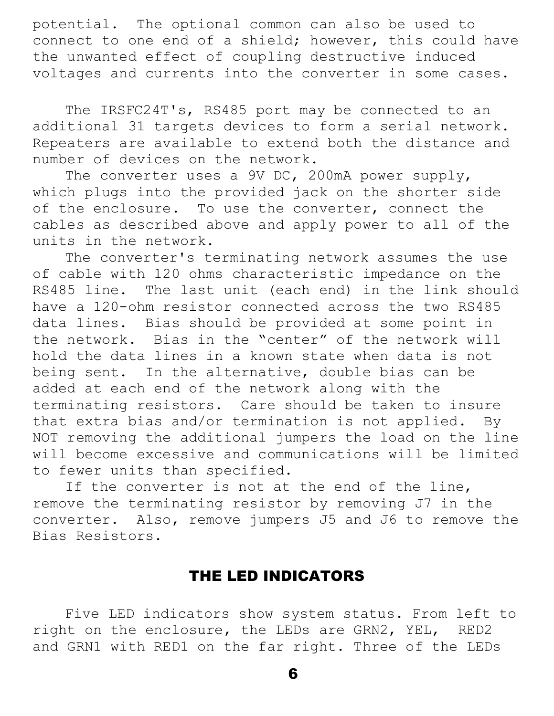potential. The optional common can also be used to connect to one end of a shield; however, this could have the unwanted effect of coupling destructive induced voltages and currents into the converter in some cases.

The IRSFC24T's, RS485 port may be connected to an additional 31 targets devices to form a serial network. Repeaters are available to extend both the distance and number of devices on the network.

The converter uses a 9V DC, 200mA power supply, which plugs into the provided jack on the shorter side of the enclosure. To use the converter, connect the cables as described above and apply power to all of the units in the network.

The converter's terminating network assumes the use of cable with 120 ohms characteristic impedance on the RS485 line. The last unit (each end) in the link should have a 120-ohm resistor connected across the two RS485 data lines. Bias should be provided at some point in the network. Bias in the "center" of the network will hold the data lines in a known state when data is not being sent. In the alternative, double bias can be added at each end of the network along with the terminating resistors. Care should be taken to insure that extra bias and/or termination is not applied. By NOT removing the additional jumpers the load on the line will become excessive and communications will be limited to fewer units than specified.

If the converter is not at the end of the line, remove the terminating resistor by removing J7 in the converter. Also, remove jumpers J5 and J6 to remove the Bias Resistors.

#### THE LED INDICATORS

Five LED indicators show system status. From left to right on the enclosure, the LEDs are GRN2, YEL, RED2 and GRN1 with RED1 on the far right. Three of the LEDs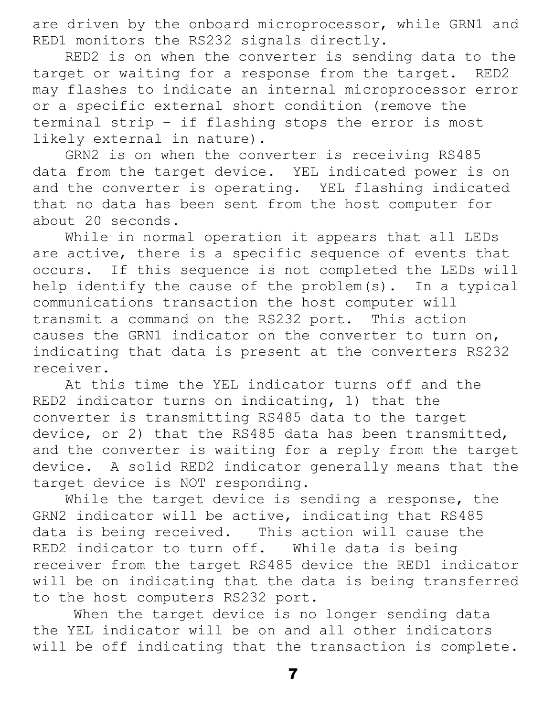are driven by the onboard microprocessor, while GRN1 and RED1 monitors the RS232 signals directly.

RED2 is on when the converter is sending data to the target or waiting for a response from the target. RED2 may flashes to indicate an internal microprocessor error or a specific external short condition (remove the terminal strip – if flashing stops the error is most likely external in nature).

GRN2 is on when the converter is receiving RS485 data from the target device. YEL indicated power is on and the converter is operating. YEL flashing indicated that no data has been sent from the host computer for about 20 seconds.

While in normal operation it appears that all LEDs are active, there is a specific sequence of events that occurs. If this sequence is not completed the LEDs will help identify the cause of the problem(s). In a typical communications transaction the host computer will transmit a command on the RS232 port. This action causes the GRN1 indicator on the converter to turn on, indicating that data is present at the converters RS232 receiver.

At this time the YEL indicator turns off and the RED2 indicator turns on indicating, 1) that the converter is transmitting RS485 data to the target device, or 2) that the RS485 data has been transmitted, and the converter is waiting for a reply from the target device. A solid RED2 indicator generally means that the target device is NOT responding.

While the target device is sending a response, the GRN2 indicator will be active, indicating that RS485 data is being received. This action will cause the RED2 indicator to turn off. While data is being receiver from the target RS485 device the RED1 indicator will be on indicating that the data is being transferred to the host computers RS232 port.

When the target device is no longer sending data the YEL indicator will be on and all other indicators will be off indicating that the transaction is complete.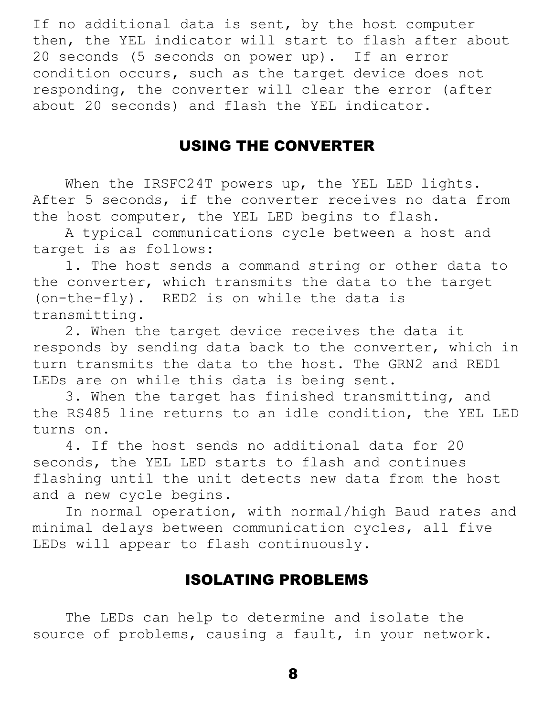If no additional data is sent, by the host computer then, the YEL indicator will start to flash after about 20 seconds (5 seconds on power up). If an error condition occurs, such as the target device does not responding, the converter will clear the error (after about 20 seconds) and flash the YEL indicator.

#### USING THE CONVERTER

When the IRSFC24T powers up, the YEL LED lights. After 5 seconds, if the converter receives no data from the host computer, the YEL LED begins to flash.

A typical communications cycle between a host and target is as follows:

1. The host sends a command string or other data to the converter, which transmits the data to the target (on-the-fly). RED2 is on while the data is transmitting.

2. When the target device receives the data it responds by sending data back to the converter, which in turn transmits the data to the host. The GRN2 and RED1 LEDs are on while this data is being sent.

3. When the target has finished transmitting, and the RS485 line returns to an idle condition, the YEL LED turns on.

4. If the host sends no additional data for 20 seconds, the YEL LED starts to flash and continues flashing until the unit detects new data from the host and a new cycle begins.

In normal operation, with normal/high Baud rates and minimal delays between communication cycles, all five LEDs will appear to flash continuously.

#### ISOLATING PROBLEMS

The LEDs can help to determine and isolate the source of problems, causing a fault, in your network.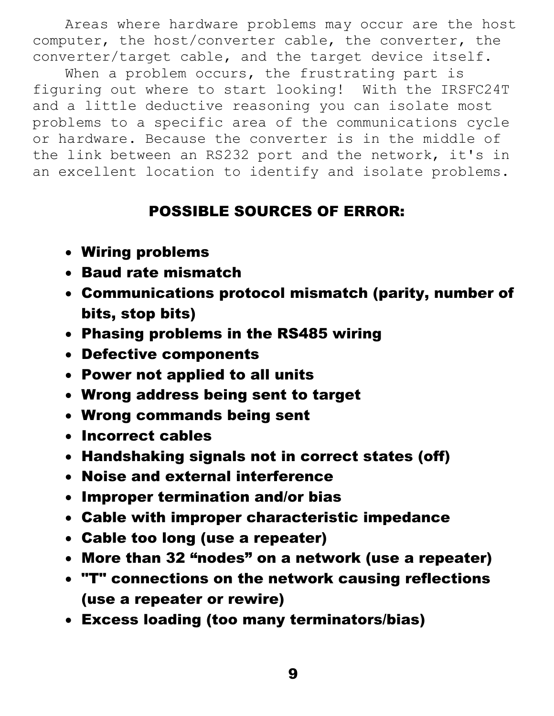Areas where hardware problems may occur are the host computer, the host/converter cable, the converter, the converter/target cable, and the target device itself.

When a problem occurs, the frustrating part is figuring out where to start looking! With the IRSFC24T and a little deductive reasoning you can isolate most problems to a specific area of the communications cycle or hardware. Because the converter is in the middle of the link between an RS232 port and the network, it's in an excellent location to identify and isolate problems.

### POSSIBLE SOURCES OF ERROR:

- Wiring problems
- Baud rate mismatch
- Communications protocol mismatch (parity, number of bits, stop bits)
- Phasing problems in the RS485 wiring
- Defective components
- Power not applied to all units
- Wrong address being sent to target
- Wrong commands being sent
- Incorrect cables
- Handshaking signals not in correct states (off)
- Noise and external interference
- Improper termination and/or bias
- Cable with improper characteristic impedance
- Cable too long (use a repeater)
- More than 32 "nodes" on a network (use a repeater)
- "T" connections on the network causing reflections (use a repeater or rewire)
- Excess loading (too many terminators/bias)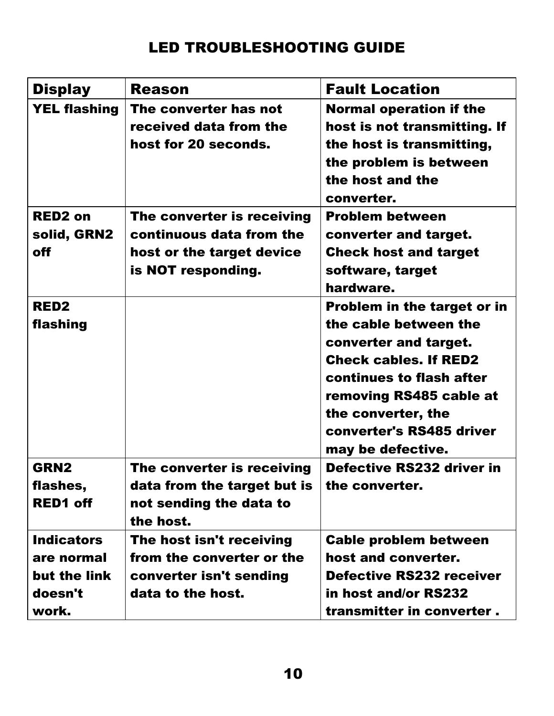## LED TROUBLESHOOTING GUIDE

| <b>Display</b>                                                      | <b>Reason</b>                                                                                             | <b>Fault Location</b>                                                                                                                                                                                                                              |
|---------------------------------------------------------------------|-----------------------------------------------------------------------------------------------------------|----------------------------------------------------------------------------------------------------------------------------------------------------------------------------------------------------------------------------------------------------|
| <b>YEL flashing</b>                                                 | The converter has not<br>received data from the<br>host for 20 seconds.                                   | <b>Normal operation if the</b><br>host is not transmitting. If<br>the host is transmitting,<br>the problem is between<br>the host and the<br>converter.                                                                                            |
| <b>RED2 on</b><br>solid, GRN2<br><b>off</b>                         | The converter is receiving<br>continuous data from the<br>host or the target device<br>is NOT responding. | <b>Problem between</b><br>converter and target.<br><b>Check host and target</b><br>software, target<br>hardware.                                                                                                                                   |
| <b>RED2</b><br>flashing                                             |                                                                                                           | <b>Problem in the target or in</b><br>the cable between the<br>converter and target.<br><b>Check cables. If RED2</b><br>continues to flash after<br>removing RS485 cable at<br>the converter, the<br>converter's RS485 driver<br>may be defective. |
| <b>GRN2</b><br>flashes,<br><b>RED1 off</b>                          | The converter is receiving<br>data from the target but is<br>not sending the data to<br>the host.         | Defective RS232 driver in<br>the converter.                                                                                                                                                                                                        |
| <b>Indicators</b><br>are normal<br>but the link<br>doesn't<br>work. | The host isn't receiving<br>from the converter or the<br>converter isn't sending<br>data to the host.     | <b>Cable problem between</b><br>host and converter.<br><b>Defective RS232 receiver</b><br>in host and/or RS232<br>transmitter in converter.                                                                                                        |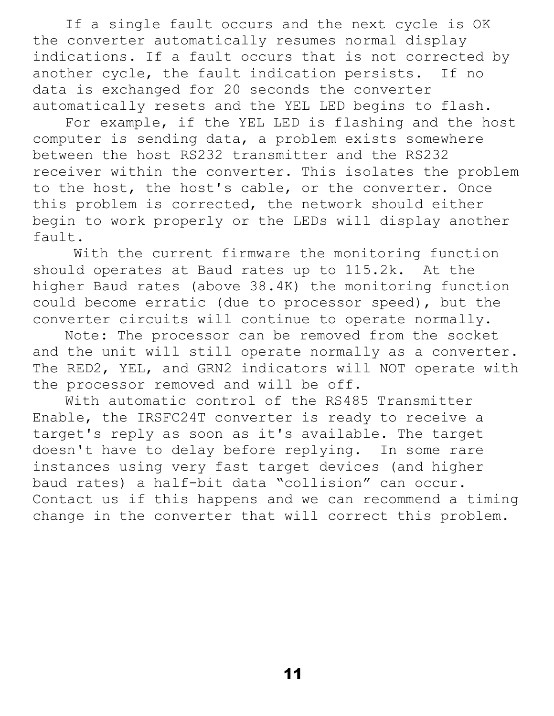If a single fault occurs and the next cycle is OK the converter automatically resumes normal display indications. If a fault occurs that is not corrected by another cycle, the fault indication persists. If no data is exchanged for 20 seconds the converter automatically resets and the YEL LED begins to flash.

For example, if the YEL LED is flashing and the host computer is sending data, a problem exists somewhere between the host RS232 transmitter and the RS232 receiver within the converter. This isolates the problem to the host, the host's cable, or the converter. Once this problem is corrected, the network should either begin to work properly or the LEDs will display another fault.

 With the current firmware the monitoring function should operates at Baud rates up to 115.2k. At the higher Baud rates (above 38.4K) the monitoring function could become erratic (due to processor speed), but the converter circuits will continue to operate normally.

Note: The processor can be removed from the socket and the unit will still operate normally as a converter. The RED2, YEL, and GRN2 indicators will NOT operate with the processor removed and will be off.

With automatic control of the RS485 Transmitter Enable, the IRSFC24T converter is ready to receive a target's reply as soon as it's available. The target doesn't have to delay before replying. In some rare instances using very fast target devices (and higher baud rates) a half-bit data "collision" can occur. Contact us if this happens and we can recommend a timing change in the converter that will correct this problem.